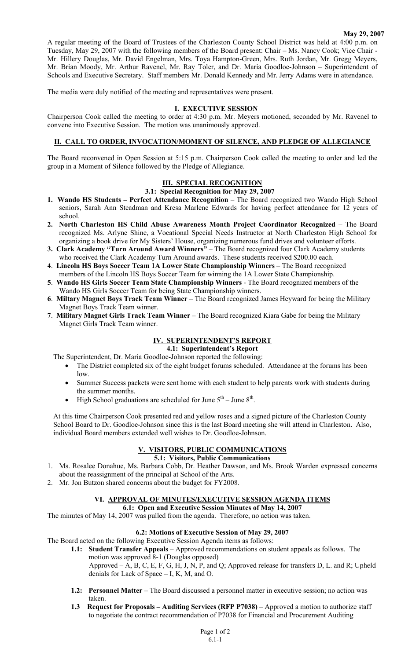### **May 29, 2007**

A regular meeting of the Board of Trustees of the Charleston County School District was held at 4:00 p.m. on Tuesday, May 29, 2007 with the following members of the Board present: Chair – Ms. Nancy Cook; Vice Chair - Mr. Hillery Douglas, Mr. David Engelman, Mrs. Toya Hampton-Green, Mrs. Ruth Jordan, Mr. Gregg Meyers, Mr. Brian Moody, Mr. Arthur Ravenel, Mr. Ray Toler, and Dr. Maria Goodloe-Johnson – Superintendent of Schools and Executive Secretary. Staff members Mr. Donald Kennedy and Mr. Jerry Adams were in attendance.

The media were duly notified of the meeting and representatives were present.

### **I. EXECUTIVE SESSION**

Chairperson Cook called the meeting to order at 4:30 p.m. Mr. Meyers motioned, seconded by Mr. Ravenel to convene into Executive Session. The motion was unanimously approved.

# **II. CALL TO ORDER, INVOCATION/MOMENT OF SILENCE, AND PLEDGE OF ALLEGIANCE**

The Board reconvened in Open Session at 5:15 p.m. Chairperson Cook called the meeting to order and led the group in a Moment of Silence followed by the Pledge of Allegiance.

# **III. SPECIAL RECOGNITION**

#### **3.1: Special Recognition for May 29, 2007**

- **1. Wando HS Students Perfect Attendance Recognition** The Board recognized two Wando High School seniors, Sarah Ann Steadman and Kresa Marlene Edwards for having perfect attendance for 12 years of school.
- **2. North Charleston HS Child Abuse Awareness Month Project Coordinator Recognized** The Board recognized Ms. Arlyne Shine, a Vocational Special Needs Instructor at North Charleston High School for organizing a book drive for My Sisters' House, organizing numerous fund drives and volunteer efforts.
- **3. Clark Academy "Turn Around Award Winners"**  The Board recognized four Clark Academy students who received the Clark Academy Turn Around awards. These students received \$200.00 each.
- **4**. **Lincoln HS Boys Soccer Team 1A Lower State Championship Winners** The Board recognized members of the Lincoln HS Boys Soccer Team for winning the 1A Lower State Championship.
- **5**. **Wando HS Girls Soccer Team State Championship Winners** The Board recognized members of the Wando HS Girls Soccer Team for being State Championship winners.
- **6**. **Miltary Magnet Boys Track Team Winner** The Board recognized James Heyward for being the Military Magnet Boys Track Team winner.
- **7**. **Military Magnet Girls Track Team Winner** The Board recognized Kiara Gabe for being the Military Magnet Girls Track Team winner.

# **IV. SUPERINTENDENT'S REPORT**

**4.1: Superintendent's Report** 

The Superintendent, Dr. Maria Goodloe-Johnson reported the following:

- The District completed six of the eight budget forums scheduled. Attendance at the forums has been low.
- Summer Success packets were sent home with each student to help parents work with students during the summer months.
- High School graduations are scheduled for June  $5<sup>th</sup>$  June  $8<sup>th</sup>$ .

At this time Chairperson Cook presented red and yellow roses and a signed picture of the Charleston County School Board to Dr. Goodloe-Johnson since this is the last Board meeting she will attend in Charleston. Also, individual Board members extended well wishes to Dr. Goodloe-Johnson.

## **V. VISITORS, PUBLIC COMMUNICATIONS**

**5.1: Visitors, Public Communications** 

- 1. Ms. Rosalee Donahue, Ms. Barbara Cobb, Dr. Heather Dawson, and Ms. Brook Warden expressed concerns about the reassignment of the principal at School of the Arts.
- 2. Mr. Jon Butzon shared concerns about the budget for FY2008.

## **VI. APPROVAL OF MINUTES/EXECUTIVE SESSION AGENDA ITEMS**

#### **6.1: Open and Executive Session Minutes of May 14, 2007**

The minutes of May 14, 2007 was pulled from the agenda. Therefore, no action was taken.

## **6.2: Motions of Executive Session of May 29, 2007**

The Board acted on the following Executive Session Agenda items as follows:

- **1.1: Student Transfer Appeals** Approved recommendations on student appeals as follows. The motion was approved 8-1 (Douglas opposed) Approved – A, B, C, E, F, G, H, J, N, P, and Q; Approved release for transfers D, L. and R; Upheld denials for Lack of Space – I, K, M, and O.
- **1.2: Personnel Matter** The Board discussed a personnel matter in executive session; no action was taken.
- **1.3 Request for Proposals Auditing Services (RFP P7038)** Approved a motion to authorize staff to negotiate the contract recommendation of P7038 for Financial and Procurement Auditing